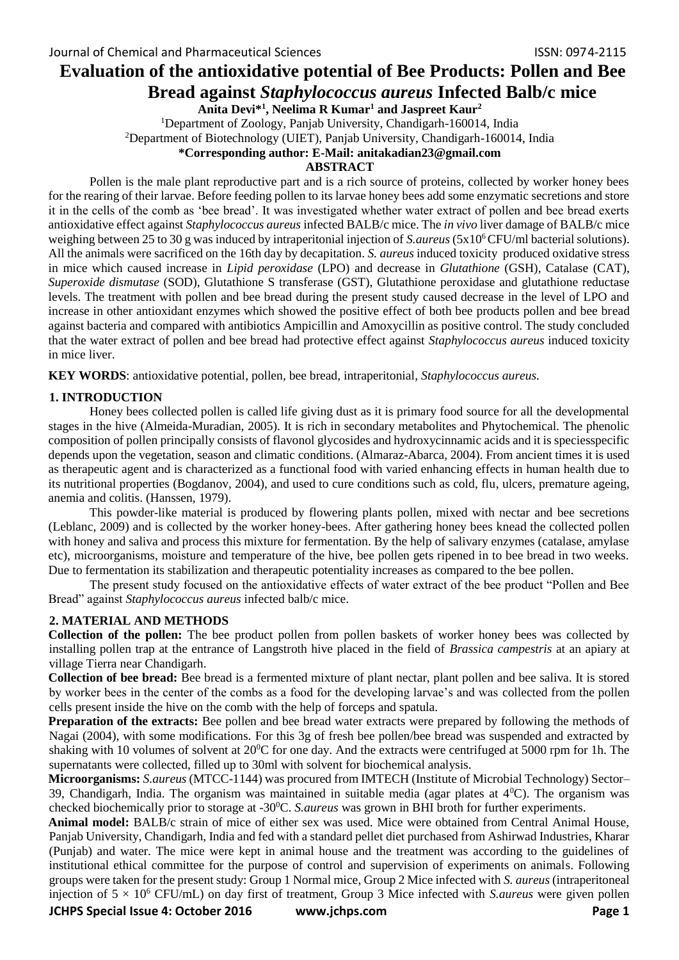# **Evaluation of the antioxidative potential of Bee Products: Pollen and Bee Bread against** *Staphylococcus aureus* **Infected Balb/c mice**

**Anita Devi\*<sup>1</sup> , Neelima R Kumar<sup>1</sup> and Jaspreet Kaur<sup>2</sup>**

<sup>1</sup>Department of Zoology, Panjab University, Chandigarh-160014, India

<sup>2</sup>Department of Biotechnology (UIET), Panjab University, Chandigarh-160014, India

## **\*Corresponding author: E-Mail: anitakadian23@gmail.com**

## **ABSTRACT**

Pollen is the male plant reproductive part and is a rich source of proteins, collected by worker honey bees for the rearing of their larvae. Before feeding pollen to its larvae honey bees add some enzymatic secretions and store it in the cells of the comb as 'bee bread'. It was investigated whether water extract of pollen and bee bread exerts antioxidative effect against *Staphylococcus aureus* infected BALB/c mice. The *in vivo* liver damage of BALB/c mice weighing between 25 to 30 g was induced by intraperitonial injection of *S.aureus* (5x10<sup>6</sup>CFU/ml bacterial solutions). All the animals were sacrificed on the 16th day by decapitation. *S. aureus* induced toxicity produced oxidative stress in mice which caused increase in *Lipid peroxidase* (LPO) and decrease in *Glutathione* (GSH), Catalase (CAT), *Superoxide dismutase* (SOD), Glutathione S transferase (GST), Glutathione peroxidase and glutathione reductase levels. The treatment with pollen and bee bread during the present study caused decrease in the level of LPO and increase in other antioxidant enzymes which showed the positive effect of both bee products pollen and bee bread against bacteria and compared with antibiotics Ampicillin and Amoxycillin as positive control. The study concluded that the water extract of pollen and bee bread had protective effect against *Staphylococcus aureus* induced toxicity in mice liver.

**KEY WORDS**: antioxidative potential, pollen, bee bread, intraperitonial, *Staphylococcus aureus.* 

# **1. INTRODUCTION**

Honey bees collected pollen is called life giving dust as it is primary food source for all the developmental stages in the hive (Almeida-Muradian, 2005). It is rich in secondary metabolites and Phytochemical. The phenolic composition of pollen principally consists of flavonol glycosides and hydroxycinnamic acids and it is speciesspecific depends upon the vegetation, season and climatic conditions. (Almaraz-Abarca*,* 2004). From ancient times it is used as therapeutic agent and is characterized as a functional food with varied enhancing effects in human health due to its nutritional properties (Bogdanov, 2004), and used to cure conditions such as cold, flu, ulcers, premature ageing, anemia and colitis. (Hanssen, 1979).

This powder-like material is produced by flowering plants pollen, mixed with nectar and bee secretions (Leblanc, 2009) and is collected by the worker honey-bees. After gathering honey bees knead the collected pollen with honey and saliva and process this mixture for fermentation. By the help of salivary enzymes (catalase, amylase etc), microorganisms, moisture and temperature of the hive, bee pollen gets ripened in to bee bread in two weeks. Due to fermentation its stabilization and therapeutic potentiality increases as compared to the bee pollen.

The present study focused on the antioxidative effects of water extract of the bee product "Pollen and Bee Bread" against *Staphylococcus aureus* infected balb/c mice.

# **2. MATERIAL AND METHODS**

**Collection of the pollen:** The bee product pollen from pollen baskets of worker honey bees was collected by installing pollen trap at the entrance of Langstroth hive placed in the field of *Brassica campestris* at an apiary at village Tierra near Chandigarh.

**Collection of bee bread:** Bee bread is a fermented mixture of plant nectar, plant pollen and bee saliva. It is stored by worker bees in the center of the combs as a food for the developing larvae's and was collected from the pollen cells present inside the hive on the comb with the help of forceps and spatula.

**Preparation of the extracts:** Bee pollen and bee bread water extracts were prepared by following the methods of Nagai (2004), with some modifications. For this 3g of fresh bee pollen/bee bread was suspended and extracted by shaking with 10 volumes of solvent at  $20^{\circ}$ C for one day. And the extracts were centrifuged at 5000 rpm for 1h. The supernatants were collected, filled up to 30ml with solvent for biochemical analysis.

**Microorganisms:** *S.aureus* (MTCC-1144) was procured from IMTECH (Institute of Microbial Technology) Sector– 39, Chandigarh, India. The organism was maintained in suitable media (agar plates at  $4^0$ C). The organism was checked biochemically prior to storage at -30<sup>0</sup>C. *S.aureus* was grown in BHI broth for further experiments.

**Animal model:** BALB/c strain of mice of either sex was used. Mice were obtained from Central Animal House, Panjab University, Chandigarh, India and fed with a standard pellet diet purchased from Ashirwad Industries, Kharar (Punjab) and water. The mice were kept in animal house and the treatment was according to the guidelines of institutional ethical committee for the purpose of control and supervision of experiments on animals. Following groups were taken for the present study: Group 1 Normal mice, Group 2 Mice infected with *S. aureus* (intraperitoneal injection of 5 × 10<sup>6</sup> CFU/mL) on day first of treatment, Group 3 Mice infected with *S.aureus* were given pollen

**JCHPS Special Issue 4: October 2016 www.jchps.com Page 1**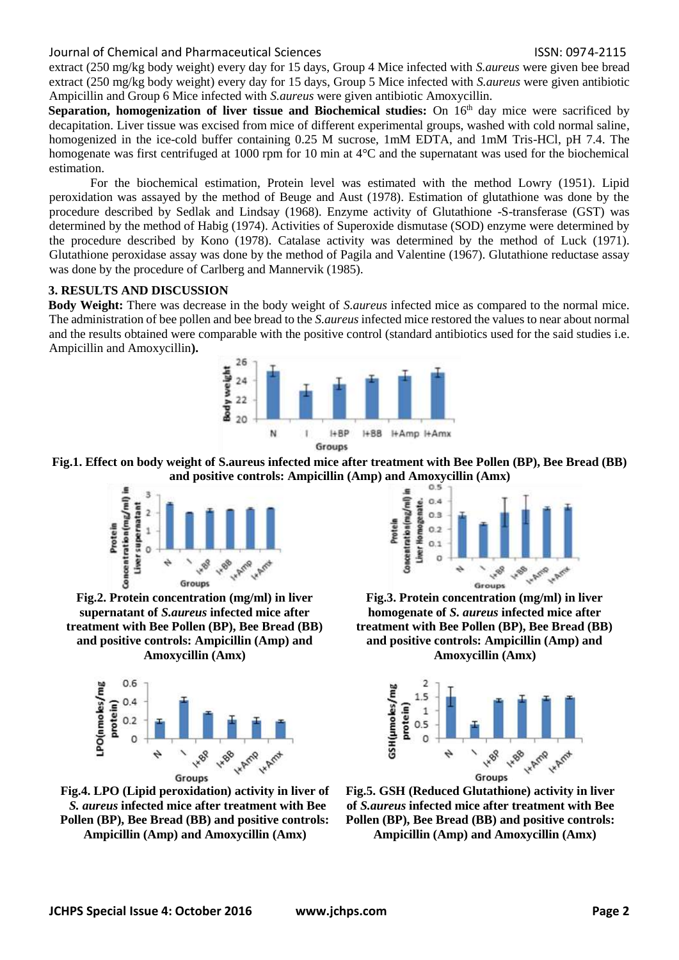extract (250 mg/kg body weight) every day for 15 days, Group 4 Mice infected with *S.aureus* were given bee bread extract (250 mg/kg body weight) every day for 15 days, Group 5 Mice infected with *S.aureus* were given antibiotic Ampicillin and Group 6 Mice infected with *S.aureus* were given antibiotic Amoxycillin.

**Separation, homogenization of liver tissue and Biochemical studies:** On 16<sup>th</sup> day mice were sacrificed by decapitation. Liver tissue was excised from mice of different experimental groups, washed with cold normal saline, homogenized in the ice-cold buffer containing 0.25 M sucrose, 1mM EDTA, and 1mM Tris-HCl, pH 7.4. The homogenate was first centrifuged at 1000 rpm for 10 min at 4<sup>o</sup>C and the supernatant was used for the biochemical estimation.

For the biochemical estimation, Protein level was estimated with the method Lowry (1951). Lipid peroxidation was assayed by the method of Beuge and Aust (1978). Estimation of glutathione was done by the procedure described by Sedlak and Lindsay (1968). Enzyme activity of Glutathione -S-transferase (GST) was determined by the method of Habig (1974). Activities of Superoxide dismutase (SOD) enzyme were determined by the procedure described by Kono (1978). Catalase activity was determined by the method of Luck (1971). Glutathione peroxidase assay was done by the method of Pagila and Valentine (1967). Glutathione reductase assay was done by the procedure of Carlberg and Mannervik (1985).

# **3. RESULTS AND DISCUSSION**

**Body Weight:** There was decrease in the body weight of *S.aureus* infected mice as compared to the normal mice. The administration of bee pollen and bee bread to the *S.aureus* infected mice restored the values to near about normal and the results obtained were comparable with the positive control (standard antibiotics used for the said studies i.e. Ampicillin and Amoxycillin**).** 



#### **Fig.1. Effect on body weight of S.aureus infected mice after treatment with Bee Pollen (BP), Bee Bread (BB) and positive controls: Ampicillin (Amp) and Amoxycillin (Amx)**



**Fig.2. Protein concentration (mg/ml) in liver supernatant of** *S.aureus* **infected mice after treatment with Bee Pollen (BP), Bee Bread (BB) and positive controls: Ampicillin (Amp) and Amoxycillin (Amx)**



**Fig.4. LPO (Lipid peroxidation) activity in liver of** *S. aureus* **infected mice after treatment with Bee Pollen (BP), Bee Bread (BB) and positive controls: Ampicillin (Amp) and Amoxycillin (Amx)**



**Fig.3. Protein concentration (mg/ml) in liver homogenate of** *S. aureus* **infected mice after treatment with Bee Pollen (BP), Bee Bread (BB) and positive controls: Ampicillin (Amp) and Amoxycillin (Amx)**



**Fig.5. GSH (Reduced Glutathione) activity in liver of** *S.aureus* **infected mice after treatment with Bee Pollen (BP), Bee Bread (BB) and positive controls: Ampicillin (Amp) and Amoxycillin (Amx)**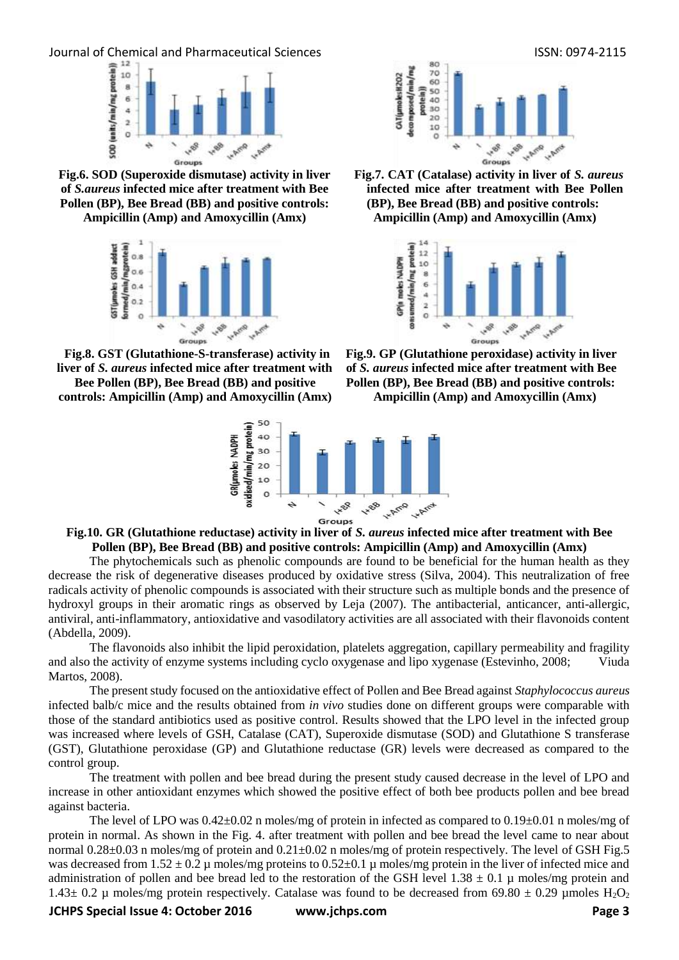

**Fig.6. SOD (Superoxide dismutase) activity in liver of** *S.aureus* **infected mice after treatment with Bee Pollen (BP), Bee Bread (BB) and positive controls: Ampicillin (Amp) and Amoxycillin (Amx)**

 $\frac{1}{2}$  ormed/min/mgprotein)<br> $\frac{1}{2}$  or  $\frac{1}{2}$  or  $\frac{1}{2}$  . GST(umoles GSH adduct 198 1.00 ä Groups

**Fig.8. GST (Glutathione-S-transferase) activity in liver of** *S. aureus* **infected mice after treatment with Bee Pollen (BP), Bee Bread (BB) and positive** 

**controls: Ampicillin (Amp) and Amoxycillin (Amx)**





**Fig.7. CAT (Catalase) activity in liver of** *S. aureus* **infected mice after treatment with Bee Pollen (BP), Bee Bread (BB) and positive controls: Ampicillin (Amp) and Amoxycillin (Amx)**



**Fig.9. GP (Glutathione peroxidase) activity in liver of** *S. aureus* **infected mice after treatment with Bee Pollen (BP), Bee Bread (BB) and positive controls: Ampicillin (Amp) and Amoxycillin (Amx)**

#### **Fig.10. GR (Glutathione reductase) activity in liver of** *S. aureus* **infected mice after treatment with Bee Pollen (BP), Bee Bread (BB) and positive controls: Ampicillin (Amp) and Amoxycillin (Amx)**

The phytochemicals such as phenolic compounds are found to be beneficial for the human health as they decrease the risk of degenerative diseases produced by oxidative stress (Silva, 2004). This neutralization of free radicals activity of phenolic compounds is associated with their structure such as multiple bonds and the presence of hydroxyl groups in their aromatic rings as observed by Leja (2007). The antibacterial, anticancer, anti-allergic, antiviral, anti-inflammatory, antioxidative and vasodilatory activities are all associated with their flavonoids content (Abdella, 2009).

The flavonoids also inhibit the lipid peroxidation, platelets aggregation, capillary permeability and fragility and also the activity of enzyme systems including cyclo oxygenase and lipo xygenase (Estevinho, 2008; Viuda Martos, 2008).

The present study focused on the antioxidative effect of Pollen and Bee Bread against *Staphylococcus aureus* infected balb/c mice and the results obtained from *in vivo* studies done on different groups were comparable with those of the standard antibiotics used as positive control. Results showed that the LPO level in the infected group was increased where levels of GSH, Catalase (CAT), Superoxide dismutase (SOD) and Glutathione S transferase (GST), Glutathione peroxidase (GP) and Glutathione reductase (GR) levels were decreased as compared to the control group.

The treatment with pollen and bee bread during the present study caused decrease in the level of LPO and increase in other antioxidant enzymes which showed the positive effect of both bee products pollen and bee bread against bacteria.

The level of LPO was  $0.42 \pm 0.02$  n moles/mg of protein in infected as compared to  $0.19 \pm 0.01$  n moles/mg of protein in normal. As shown in the Fig. 4. after treatment with pollen and bee bread the level came to near about normal  $0.28\pm0.03$  n moles/mg of protein and  $0.21\pm0.02$  n moles/mg of protein respectively. The level of GSH Fig.5 was decreased from  $1.52 \pm 0.2 \mu$  moles/mg proteins to  $0.52 \pm 0.1 \mu$  moles/mg protein in the liver of infected mice and administration of pollen and bee bread led to the restoration of the GSH level  $1.38 \pm 0.1$  µ moles/mg protein and 1.43 $\pm$  0.2 µ moles/mg protein respectively. Catalase was found to be decreased from 69.80  $\pm$  0.29 µmoles H<sub>2</sub>O<sub>2</sub>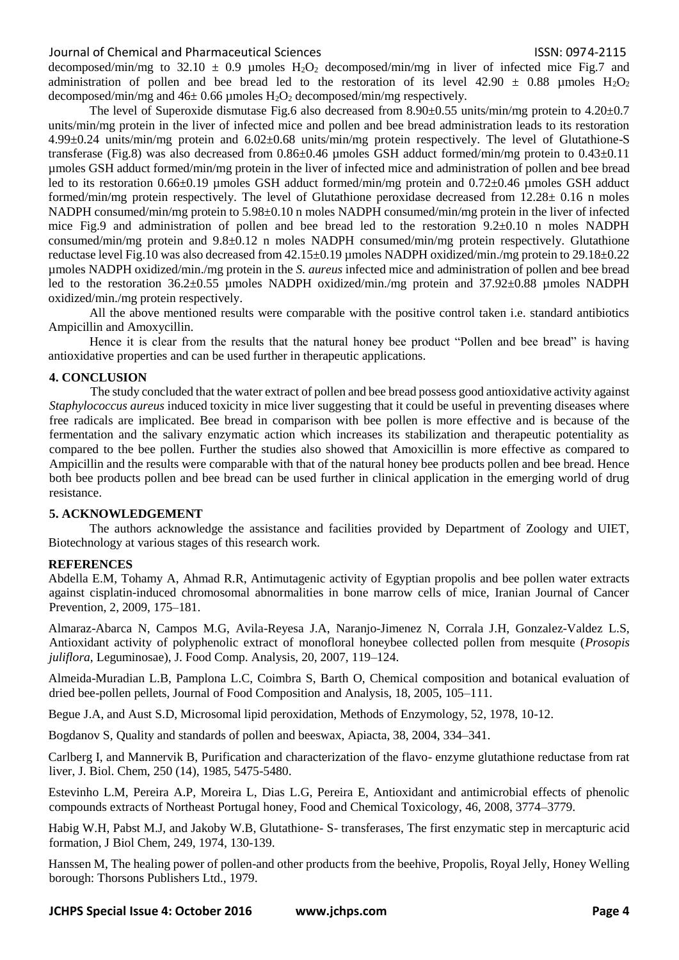decomposed/min/mg to 32.10  $\pm$  0.9 µmoles H<sub>2</sub>O<sub>2</sub> decomposed/min/mg in liver of infected mice Fig.7 and administration of pollen and bee bread led to the restoration of its level 42.90  $\pm$  0.88 µmoles H<sub>2</sub>O<sub>2</sub> decomposed/min/mg and  $46\pm0.66$  µmoles  $H_2O_2$  decomposed/min/mg respectively.

The level of Superoxide dismutase Fig.6 also decreased from 8.90 $\pm$ 0.55 units/min/mg protein to 4.20 $\pm$ 0.7 units/min/mg protein in the liver of infected mice and pollen and bee bread administration leads to its restoration 4.99±0.24 units/min/mg protein and 6.02±0.68 units/min/mg protein respectively. The level of Glutathione-S transferase (Fig.8) was also decreased from  $0.86\pm0.46$  µmoles GSH adduct formed/min/mg protein to  $0.43\pm0.11$ µmoles GSH adduct formed/min/mg protein in the liver of infected mice and administration of pollen and bee bread led to its restoration 0.66±0.19 µmoles GSH adduct formed/min/mg protein and 0.72±0.46 µmoles GSH adduct formed/min/mg protein respectively. The level of Glutathione peroxidase decreased from 12.28± 0.16 n moles NADPH consumed/min/mg protein to 5.98±0.10 n moles NADPH consumed/min/mg protein in the liver of infected mice Fig.9 and administration of pollen and bee bread led to the restoration 9.2±0.10 n moles NADPH consumed/min/mg protein and 9.8±0.12 n moles NADPH consumed/min/mg protein respectively. Glutathione reductase level Fig.10 was also decreased from 42.15±0.19 µmoles NADPH oxidized/min./mg protein to 29.18±0.22 µmoles NADPH oxidized/min./mg protein in the *S. aureus* infected mice and administration of pollen and bee bread led to the restoration 36.2±0.55 µmoles NADPH oxidized/min./mg protein and 37.92±0.88 µmoles NADPH oxidized/min./mg protein respectively.

All the above mentioned results were comparable with the positive control taken i.e. standard antibiotics Ampicillin and Amoxycillin.

Hence it is clear from the results that the natural honey bee product "Pollen and bee bread" is having antioxidative properties and can be used further in therapeutic applications.

## **4. CONCLUSION**

The study concluded that the water extract of pollen and bee bread possess good antioxidative activity against *Staphylococcus aureus* induced toxicity in mice liver suggesting that it could be useful in preventing diseases where free radicals are implicated. Bee bread in comparison with bee pollen is more effective and is because of the fermentation and the salivary enzymatic action which increases its stabilization and therapeutic potentiality as compared to the bee pollen. Further the studies also showed that Amoxicillin is more effective as compared to Ampicillin and the results were comparable with that of the natural honey bee products pollen and bee bread. Hence both bee products pollen and bee bread can be used further in clinical application in the emerging world of drug resistance.

#### **5. ACKNOWLEDGEMENT**

The authors acknowledge the assistance and facilities provided by Department of Zoology and UIET, Biotechnology at various stages of this research work.

#### **REFERENCES**

Abdella E.M, Tohamy A, Ahmad R.R, Antimutagenic activity of Egyptian propolis and bee pollen water extracts against cisplatin-induced chromosomal abnormalities in bone marrow cells of mice, Iranian Journal of Cancer Prevention, 2, 2009, 175–181.

Almaraz-Abarca N, Campos M.G, Avila-Reyesa J.A, Naranjo-Jimenez N, Corrala J.H, Gonzalez-Valdez L.S, Antioxidant activity of polyphenolic extract of monofloral honeybee collected pollen from mesquite (*Prosopis juliflora*, Leguminosae), J. Food Comp. Analysis, 20, 2007, 119–124.

Almeida-Muradian L.B, Pamplona L.C, Coimbra S, Barth O, Chemical composition and botanical evaluation of dried bee-pollen pellets, Journal of Food Composition and Analysis, 18, 2005, 105–111.

Begue J.A, and Aust S.D, Microsomal lipid peroxidation, Methods of Enzymology, 52, 1978, 10-12.

Bogdanov S, Quality and standards of pollen and beeswax, Apiacta, 38, 2004, 334–341.

Carlberg I, and Mannervik B, Purification and characterization of the flavo- enzyme glutathione reductase from rat liver, J. Biol. Chem, 250 (14), 1985, 5475-5480.

Estevinho L.M, Pereira A.P, Moreira L, Dias L.G, Pereira E, Antioxidant and antimicrobial effects of phenolic compounds extracts of Northeast Portugal honey, Food and Chemical Toxicology, 46, 2008, 3774–3779.

Habig W.H, Pabst M.J, and Jakoby W.B, Glutathione- S- transferases, The first enzymatic step in mercapturic acid formation, J Biol Chem, 249, 1974, 130-139.

Hanssen M, The healing power of pollen-and other products from the beehive, Propolis, Royal Jelly, Honey Welling borough: Thorsons Publishers Ltd., 1979.